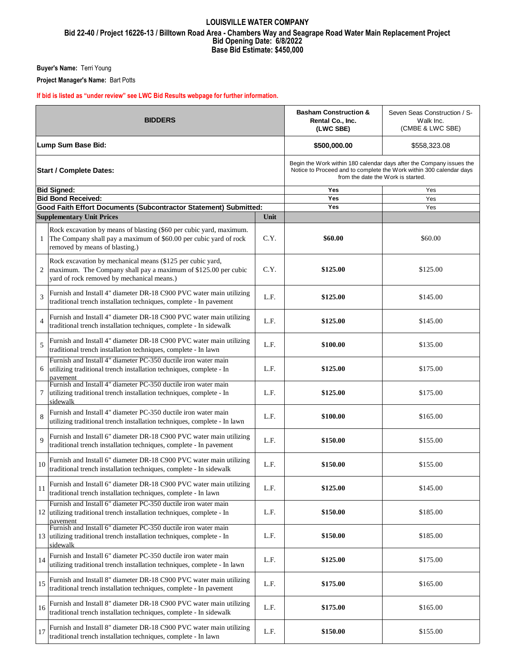### **Bid Opening Date: 6/8/2022 Base Bid Estimate: \$450,000 LOUISVILLE WATER COMPANY Bid 22-40 / Project 16226-13 / Billtown Road Area - Chambers Way and Seagrape Road Water Main Replacement Project**

**Buyer's Name:** Terri Young

**Project Manager's Name:** Bart Potts

### **If bid is listed as "under review" see LWC Bid Results webpage for further information.**

| <b>BIDDERS</b>                 |                                                                                                                                                                            |      | <b>Basham Construction &amp;</b><br>Rental Co., Inc.<br>(LWC SBE)                                                                                                                 | Seven Seas Construction / S-<br>Walk Inc.<br>(CMBE & LWC SBE) |
|--------------------------------|----------------------------------------------------------------------------------------------------------------------------------------------------------------------------|------|-----------------------------------------------------------------------------------------------------------------------------------------------------------------------------------|---------------------------------------------------------------|
| Lump Sum Base Bid:             |                                                                                                                                                                            |      | \$500,000.00                                                                                                                                                                      | \$558,323.08                                                  |
| <b>Start / Complete Dates:</b> |                                                                                                                                                                            |      | Begin the Work within 180 calendar days after the Company issues the<br>Notice to Proceed and to complete the Work within 300 calendar days<br>from the date the Work is started. |                                                               |
|                                | <b>Bid Signed:</b>                                                                                                                                                         |      | Yes                                                                                                                                                                               | Yes                                                           |
|                                | <b>Bid Bond Received:</b><br>Good Faith Effort Documents (Subcontractor Statement) Submitted:                                                                              |      | Yes<br>Yes                                                                                                                                                                        | Yes<br>Yes                                                    |
|                                | <b>Supplementary Unit Prices</b>                                                                                                                                           | Unit |                                                                                                                                                                                   |                                                               |
|                                |                                                                                                                                                                            |      |                                                                                                                                                                                   |                                                               |
| $\mathbf{1}$                   | Rock excavation by means of blasting (\$60 per cubic yard, maximum.<br>The Company shall pay a maximum of \$60.00 per cubic yard of rock<br>removed by means of blasting.) | C.Y. | \$60.00                                                                                                                                                                           | \$60.00                                                       |
| 2                              | Rock excavation by mechanical means (\$125 per cubic yard,<br>maximum. The Company shall pay a maximum of \$125.00 per cubic<br>yard of rock removed by mechanical means.) | C.Y. | \$125.00                                                                                                                                                                          | \$125.00                                                      |
| 3                              | Furnish and Install 4" diameter DR-18 C900 PVC water main utilizing<br>traditional trench installation techniques, complete - In pavement                                  | L.F. | \$125.00                                                                                                                                                                          | \$145.00                                                      |
| $\overline{4}$                 | Furnish and Install 4" diameter DR-18 C900 PVC water main utilizing<br>traditional trench installation techniques, complete - In sidewalk                                  | L.F. | \$125.00                                                                                                                                                                          | \$145.00                                                      |
| 5                              | Furnish and Install 4" diameter DR-18 C900 PVC water main utilizing<br>traditional trench installation techniques, complete - In lawn                                      | L.F. | \$100.00                                                                                                                                                                          | \$135.00                                                      |
| 6                              | Furnish and Install 4" diameter PC-350 ductile iron water main<br>utilizing traditional trench installation techniques, complete - In<br>pavement                          | L.F. | \$125.00                                                                                                                                                                          | \$175.00                                                      |
| 7                              | Furnish and Install 4" diameter PC-350 ductile iron water main<br>utilizing traditional trench installation techniques, complete - In<br>sidewalk                          | L.F. | \$125.00                                                                                                                                                                          | \$175.00                                                      |
| 8                              | Furnish and Install 4" diameter PC-350 ductile iron water main<br>utilizing traditional trench installation techniques, complete - In lawn                                 | L.F. | \$100.00                                                                                                                                                                          | \$165.00                                                      |
| 9                              | Furnish and Install 6" diameter DR-18 C900 PVC water main utilizing<br>traditional trench installation techniques, complete - In pavement                                  | L.F. | \$150.00                                                                                                                                                                          | \$155.00                                                      |
| 10                             | Furnish and Install 6" diameter DR-18 C900 PVC water main utilizing<br>traditional trench installation techniques, complete - In sidewalk                                  | L.F. | \$150.00                                                                                                                                                                          | \$155.00                                                      |
|                                | Furnish and Install 6" diameter DR-18 C900 PVC water main utilizing<br>traditional trench installation techniques, complete - In lawn                                      | L.F. | \$125.00                                                                                                                                                                          | \$145.00                                                      |
|                                | Furnish and Install 6" diameter PC-350 ductile iron water main<br>12 utilizing traditional trench installation techniques, complete - In<br>pavement                       | L.F. | \$150.00                                                                                                                                                                          | \$185.00                                                      |
| 13                             | Furnish and Install 6" diameter PC-350 ductile iron water main<br>utilizing traditional trench installation techniques, complete - In<br>sidewalk                          | L.F. | \$150.00                                                                                                                                                                          | \$185.00                                                      |
| 14                             | Furnish and Install 6" diameter PC-350 ductile iron water main<br>utilizing traditional trench installation techniques, complete - In lawn                                 | L.F. | \$125.00                                                                                                                                                                          | \$175.00                                                      |
| 15                             | Furnish and Install 8" diameter DR-18 C900 PVC water main utilizing<br>traditional trench installation techniques, complete - In pavement                                  | L.F. | \$175.00                                                                                                                                                                          | \$165.00                                                      |
| 16                             | Furnish and Install 8" diameter DR-18 C900 PVC water main utilizing<br>traditional trench installation techniques, complete - In sidewalk                                  | L.F. | \$175.00                                                                                                                                                                          | \$165.00                                                      |
| 17                             | Furnish and Install 8" diameter DR-18 C900 PVC water main utilizing<br>traditional trench installation techniques, complete - In lawn                                      | L.F. | \$150.00                                                                                                                                                                          | \$155.00                                                      |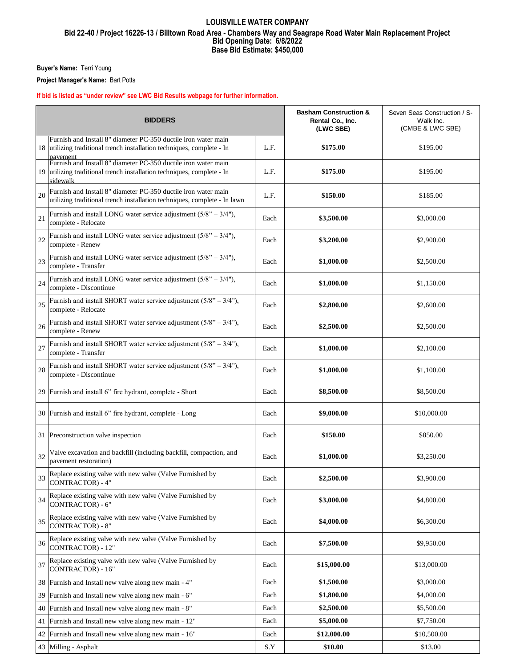# **Bid Opening Date: 6/8/2022 Base Bid Estimate: \$450,000 LOUISVILLE WATER COMPANY Bid 22-40 / Project 16226-13 / Billtown Road Area - Chambers Way and Seagrape Road Water Main Replacement Project**

**Buyer's Name:** Terri Young

**Project Manager's Name:** Bart Potts

### **If bid is listed as "under review" see LWC Bid Results webpage for further information.**

| <b>BIDDERS</b> |                                                                                                                                                   |      | <b>Basham Construction &amp;</b><br>Rental Co., Inc.<br>(LWC SBE) | Seven Seas Construction / S-<br>Walk Inc.<br>(CMBE & LWC SBE) |
|----------------|---------------------------------------------------------------------------------------------------------------------------------------------------|------|-------------------------------------------------------------------|---------------------------------------------------------------|
| 18             | Furnish and Install 8" diameter PC-350 ductile iron water main<br>utilizing traditional trench installation techniques, complete - In<br>pavement | L.F. | \$175.00                                                          | \$195.00                                                      |
| 19             | Furnish and Install 8" diameter PC-350 ductile iron water main<br>utilizing traditional trench installation techniques, complete - In<br>sidewalk | L.F. | \$175.00                                                          | \$195.00                                                      |
| 20             | Furnish and Install 8" diameter PC-350 ductile iron water main<br>utilizing traditional trench installation techniques, complete - In lawn        | L.F. | \$150.00                                                          | \$185.00                                                      |
| 21             | Furnish and install LONG water service adjustment $(5/8" - 3/4")$ ,<br>complete - Relocate                                                        | Each | \$3,500.00                                                        | \$3,000.00                                                    |
| 22             | Furnish and install LONG water service adjustment $(5/8" - 3/4")$ ,<br>complete - Renew                                                           | Each | \$3,200.00                                                        | \$2,900.00                                                    |
| 23             | Furnish and install LONG water service adjustment $(5/8" - 3/4")$ ,<br>complete - Transfer                                                        | Each | \$1,000.00                                                        | \$2,500.00                                                    |
| 24             | Furnish and install LONG water service adjustment $(5/8" - 3/4")$ ,<br>complete - Discontinue                                                     | Each | \$1,000.00                                                        | \$1,150.00                                                    |
| 25             | Furnish and install SHORT water service adjustment $(5/8" - 3/4")$ ,<br>complete - Relocate                                                       | Each | \$2,800.00                                                        | \$2,600.00                                                    |
| 26             | Furnish and install SHORT water service adjustment $(5/8" - 3/4")$ ,<br>complete - Renew                                                          | Each | \$2,500.00                                                        | \$2,500.00                                                    |
| 27             | Furnish and install SHORT water service adjustment $(5/8" - 3/4")$ ,<br>complete - Transfer                                                       | Each | \$1,000.00                                                        | \$2,100.00                                                    |
| 28             | Furnish and install SHORT water service adjustment $(5/8" - 3/4")$ ,<br>complete - Discontinue                                                    | Each | \$1,000.00                                                        | \$1,100.00                                                    |
|                | 29 Furnish and install 6" fire hydrant, complete - Short                                                                                          | Each | \$8,500.00                                                        | \$8,500.00                                                    |
|                | 30 Furnish and install 6" fire hydrant, complete - Long                                                                                           | Each | \$9,000.00                                                        | \$10,000.00                                                   |
|                | 31 Preconstruction valve inspection                                                                                                               | Each | \$150.00                                                          | \$850.00                                                      |
| 32             | Valve excavation and backfill (including backfill, compaction, and<br>pavement restoration)                                                       | Each | \$1,000.00                                                        | \$3,250.00                                                    |
| 33             | Replace existing valve with new valve (Valve Furnished by<br>CONTRACTOR) - 4"                                                                     | Each | \$2,500.00                                                        | \$3,900.00                                                    |
| 34             | Replace existing valve with new valve (Valve Furnished by<br>CONTRACTOR) - 6"                                                                     | Each | \$3,000.00                                                        | \$4,800.00                                                    |
| 35             | Replace existing valve with new valve (Valve Furnished by<br><b>CONTRACTOR) - 8"</b>                                                              | Each | \$4,000.00                                                        | \$6,300.00                                                    |
| 36             | Replace existing valve with new valve (Valve Furnished by<br>CONTRACTOR) - 12"                                                                    | Each | \$7,500.00                                                        | \$9,950.00                                                    |
| 37             | Replace existing valve with new valve (Valve Furnished by<br>CONTRACTOR) - 16"                                                                    | Each | \$15,000.00                                                       | \$13,000.00                                                   |
|                | 38 Furnish and Install new valve along new main - 4"                                                                                              | Each | \$1,500.00                                                        | \$3,000.00                                                    |
| 39             | Furnish and Install new valve along new main - 6"                                                                                                 | Each | \$1,800.00                                                        | \$4,000.00                                                    |
| 40             | Furnish and Install new valve along new main - 8"                                                                                                 | Each | \$2,500.00                                                        | \$5,500.00                                                    |
| 41             | Furnish and Install new valve along new main - 12"                                                                                                | Each | \$5,000.00                                                        | \$7,750.00                                                    |
|                | 42 Furnish and Install new valve along new main - 16"                                                                                             | Each | \$12,000.00                                                       | \$10,500.00                                                   |
|                | 43 Milling - Asphalt                                                                                                                              | S.Y  | \$10.00                                                           | \$13.00                                                       |